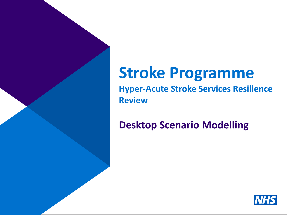# **Stroke Programme**

**Hyper-Acute Stroke Services Resilience Review**

### **Desktop Scenario Modelling**

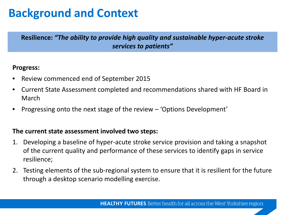## **Background and Context**

**Resilience:** *"The ability to provide high quality and sustainable hyper-acute stroke services to patients"*

**Progress:**

- Review commenced end of September 2015
- Current State Assessment completed and recommendations shared with HF Board in March
- Progressing onto the next stage of the review 'Options Development'

#### **The current state assessment involved two steps:**

- 1. Developing a baseline of hyper-acute stroke service provision and taking a snapshot of the current quality and performance of these services to identify gaps in service resilience;
- 2. Testing elements of the sub-regional system to ensure that it is resilient for the future through a desktop scenario modelling exercise.